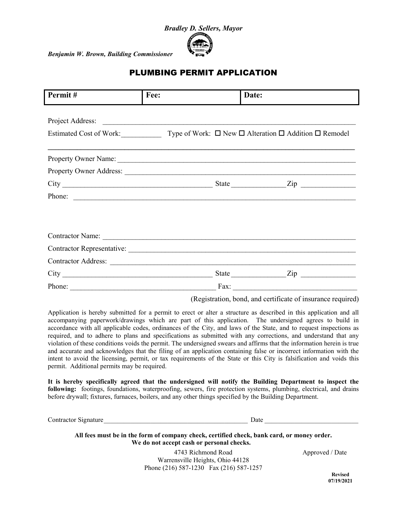

## PLUMBING PERMIT APPLICATION

| Permit#                           | Fee: | Date:                                                                                                    |                                                                |  |  |
|-----------------------------------|------|----------------------------------------------------------------------------------------------------------|----------------------------------------------------------------|--|--|
|                                   |      |                                                                                                          |                                                                |  |  |
| Project Address:                  |      |                                                                                                          |                                                                |  |  |
|                                   |      | Estimated Cost of Work: $\Box$ Type of Work: $\Box$ New $\Box$ Alteration $\Box$ Addition $\Box$ Remodel |                                                                |  |  |
|                                   |      |                                                                                                          |                                                                |  |  |
|                                   |      |                                                                                                          |                                                                |  |  |
|                                   |      |                                                                                                          |                                                                |  |  |
|                                   |      |                                                                                                          | State $\frac{Zip}{\cdots}$ $\cdots$ $\cdots$ $\cdots$ $\cdots$ |  |  |
| Phone:                            |      |                                                                                                          |                                                                |  |  |
|                                   |      |                                                                                                          |                                                                |  |  |
|                                   |      |                                                                                                          |                                                                |  |  |
| Contractor Name: Contractor Name: |      |                                                                                                          |                                                                |  |  |
| Contractor Representative:        |      |                                                                                                          |                                                                |  |  |
|                                   |      |                                                                                                          |                                                                |  |  |
|                                   |      |                                                                                                          | State $\frac{Zip}{\cdots}$ $\cdots$ $\cdots$ $\cdots$          |  |  |
| Phone:                            |      | Fax:                                                                                                     |                                                                |  |  |

(Registration, bond, and certificate of insurance required)

Application is hereby submitted for a permit to erect or alter a structure as described in this application and all accompanying paperwork/drawings which are part of this application. The undersigned agrees to build in accordance with all applicable codes, ordinances of the City, and laws of the State, and to request inspections as required, and to adhere to plans and specifications as submitted with any corrections, and understand that any violation of these conditions voids the permit. The undersigned swears and affirms that the information herein is true and accurate and acknowledges that the filing of an application containing false or incorrect information with the intent to avoid the licensing, permit, or tax requirements of the State or this City is falsification and voids this permit. Additional permits may be required.

**It is hereby specifically agreed that the undersigned will notify the Building Department to inspect the following:** footings, foundations, waterproofing, sewers, fire protection systems, plumbing, electrical, and drains before drywall; fixtures, furnaces, boilers, and any other things specified by the Building Department.

| <b>Contractor Signature</b> | Jate |  |
|-----------------------------|------|--|
|                             |      |  |

**All fees must be in the form of company check, certified check, bank card, or money order. We do not accept cash or personal checks.**

> 4743 Richmond Road Approved / Date Warrensville Heights, Ohio 44128 Phone (216) 587-1230 Fax (216) 587-1257 **Revised**

 **07/19/2021**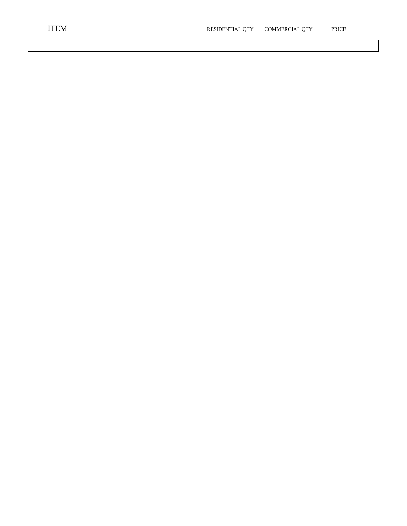| 'TEM | RESIDENTIAL QTY | COMMERCIAL QTY | PRICE |  |
|------|-----------------|----------------|-------|--|
|      |                 |                |       |  |